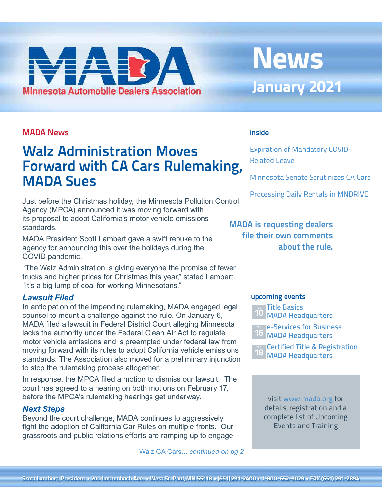# <span id="page-0-0"></span>**Minnesota Automobile Dealers Association**

## **News January 2021**

#### **MADA News**

## **Walz Administration Moves Forward with CA Cars Rulemaking, MADA Sues**

Just before the Christmas holiday, the Minnesota Pollution Control Agency (MPCA) announced it was moving forward with its proposal to adopt California's motor vehicle emissions standards.

MADA President Scott Lambert gave a swift rebuke to the agency for announcing this over the holidays during the COVID pandemic.

"The Walz Administration is giving everyone the promise of fewer trucks and higher prices for Christmas this year," stated Lambert. "It's a big lump of coal for working Minnesotans."

#### *Lawsuit Filed*

In anticipation of the impending rulemaking, MADA engaged legal counsel to mount a challenge against the rule. On January 6, MADA filed a lawsuit in Federal District Court alleging Minnesota lacks the authority under the Federal Clean Air Act to regulate motor vehicle emissions and is preempted under federal law from moving forward with its rules to adopt California vehicle emissions standards. The Association also moved for a preliminary injunction to stop the rulemaking process altogether.

In response, the MPCA filed a motion to dismiss our lawsuit. The court has agreed to a hearing on both motions on February 17, before the MPCA's rulemaking hearings get underway.

#### *Next Steps*

Beyond the court challenge, MADA continues to aggressively fight the adoption of California Car Rules on multiple fronts. Our grassroots and public relations efforts are ramping up to engage

Walz CA Cars... *[continued on pg 2](#page-1-0)*

#### **inside**

[Expiration of Mandatory COVID-](#page-1-0)[Related Leave](#page-1-0)

[Minnesota Senate Scrutinizes CA Cars](#page-2-0)

[Processing Daily Rentals in MNDRIVE](#page-2-0)

#### **MADA is requesting dealers file their own comments about the rule.**

#### **upcoming events**



e-Services for Business MADA Headquarters **16 feb**

[Certified Title & Registration](http://www.mada.org/training) 18 MADA Headquarters **feb**

visit [www.mada.org](http://www.mada.org/training) for details, registration and a [complete list of Upcoming](http://bit.ly/MADA-training)  Events and Training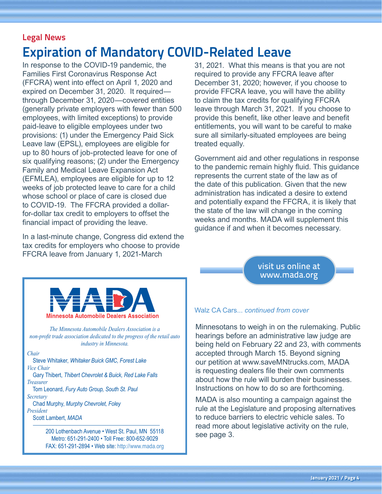## <span id="page-1-0"></span>**Legal News Expiration of Mandatory COVID-Related Leave**

In response to the COVID-19 pandemic, the Families First Coronavirus Response Act (FFCRA) went into effect on April 1, 2020 and expired on December 31, 2020. It required through December 31, 2020—covered entities (generally private employers with fewer than 500 employees, with limited exceptions) to provide paid-leave to eligible employees under two provisions: (1) under the Emergency Paid Sick Leave law (EPSL), employees are eligible for up to 80 hours of job-protected leave for one of six qualifying reasons; (2) under the Emergency Family and Medical Leave Expansion Act (EFMLEA), employees are eligible for up to 12 weeks of job protected leave to care for a child whose school or place of care is closed due to COVID-19. The FFCRA provided a dollarfor-dollar tax credit to employers to offset the financial impact of providing the leave.

In a last-minute change, Congress did extend the tax credits for employers who choose to provide FFCRA leave from January 1, 2021-March

31, 2021. What this means is that you are not required to provide any FFCRA leave after December 31, 2020; however, if you choose to provide FFCRA leave, you will have the ability to claim the tax credits for qualifying FFCRA leave through March 31, 2021. If you choose to provide this benefit, like other leave and benefit entitlements, you will want to be careful to make sure all similarly-situated employees are being treated equally.

Government aid and other regulations in response to the pandemic remain highly fluid. This guidance represents the current state of the law as of the date of this publication. Given that the new administration has indicated a desire to extend and potentially expand the FFCRA, it is likely that the state of the law will change in the coming weeks and months. MADA will supplement this guidance if and when it becomes necessary.

> visit us online at <www.mada.org>



*The Minnesota Automobile Dealers Association is a non-profit trade association dedicated to the progress of the retail auto industry in Minnesota.*

#### *Chair*

 Steve Whitaker, *Whitaker Buick GMC, Forest Lake Vice Chair*

 Gary Thibert, *Thibert Chevrolet & Buick, Red Lake Falls Treasurer*

 Tom Leonard, *Fury Auto Group, South St. Paul Secretary*

Chad Murphy, *Murphy Chevrolet, Foley*

*President* Scott Lambert, *MADA*

> 200 Lothenbach Avenue • West St. Paul, MN 55118 Metro: 651-291-2400 • Toll Free: 800-652-9029 FAX: 651-291-2894 • Web site:<http://www.mada.org>

#### Walz CA Cars... *[continued from cover](#page-0-0)*

Minnesotans to weigh in on the rulemaking. Public hearings before an administrative law judge are being held on February 22 and 23, with comments accepted through March 15. Beyond signing our petition at [www.saveMNtrucks.com,](http://www.saveMNtrucks.com) MADA is requesting dealers file their own comments about how the rule will burden their businesses. Instructions on how to do so are forthcoming.

MADA is also mounting a campaign against the rule at the Legislature and proposing alternatives to reduce barriers to electric vehicle sales. To read more about legislative activity on the rule, see page 3.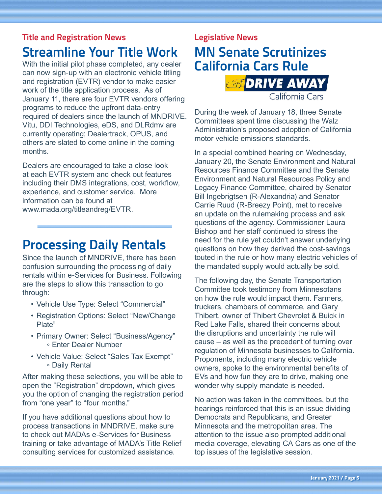## <span id="page-2-0"></span>**Title and Registration News Streamline Your Title Work**

With the initial pilot phase completed, any dealer can now sign-up with an electronic vehicle titling and registration (EVTR) vendor to make easier work of the title application process. As of January 11, there are four EVTR vendors offering programs to reduce the upfront data-entry required of dealers since the launch of MNDRIVE. Vitu, DDI Technologies, eDS, and DLRdmv are currently operating; Dealertrack, OPUS, and others are slated to come online in the coming months.

Dealers are encouraged to take a close look at each EVTR system and check out features including their DMS integrations, cost, workflow, experience, and customer service. More information can be found at [www.mada.org/titleandreg/EVTR](http://www.mada.org/titleandreg/EVTR).

## **Processing Daily Rentals**

Since the launch of MNDRIVE, there has been confusion surrounding the processing of daily rentals within e-Services for Business. Following are the steps to allow this transaction to go through:

- Vehicle Use Type: Select "Commercial"
- Registration Options: Select "New/Change Plate"
- Primary Owner: Select "Business/Agency" ° Enter Dealer Number
- Vehicle Value: Select "Sales Tax Exempt" ° Daily Rental

After making these selections, you will be able to open the "Registration" dropdown, which gives you the option of changing the registration period from "one year" to "four months."

If you have additional questions about how to process transactions in MNDRIVE, make sure to check out MADAs e-Services for Business training or take advantage of MADA's Title Relief consulting services for customized assistance.

## **Legislative News MN Senate Scrutinizes California Cars Rule SEPRIVE AWAY**

During the week of January 18, three Senate Committees spent time discussing the Walz Administration's proposed adoption of California motor vehicle emissions standards.

California Cars

In a special combined hearing on Wednesday, January 20, the Senate Environment and Natural Resources Finance Committee and the Senate Environment and Natural Resources Policy and Legacy Finance Committee, chaired by Senator Bill Ingebrigtsen (R-Alexandria) and Senator Carrie Ruud (R-Breezy Point), met to receive an update on the rulemaking process and ask questions of the agency. Commissioner Laura Bishop and her staff continued to stress the need for the rule yet couldn't answer underlying questions on how they derived the cost-savings touted in the rule or how many electric vehicles of the mandated supply would actually be sold.

The following day, the Senate Transportation Committee took testimony from Minnesotans on how the rule would impact them. Farmers, truckers, chambers of commerce, and Gary Thibert, owner of Thibert Chevrolet & Buick in Red Lake Falls, shared their concerns about the disruptions and uncertainty the rule will cause – as well as the precedent of turning over regulation of Minnesota businesses to California. Proponents, including many electric vehicle owners, spoke to the environmental benefits of EVs and how fun they are to drive, making one wonder why supply mandate is needed.

No action was taken in the committees, but the hearings reinforced that this is an issue dividing Democrats and Republicans, and Greater Minnesota and the metropolitan area. The attention to the issue also prompted additional media coverage, elevating CA Cars as one of the top issues of the legislative session.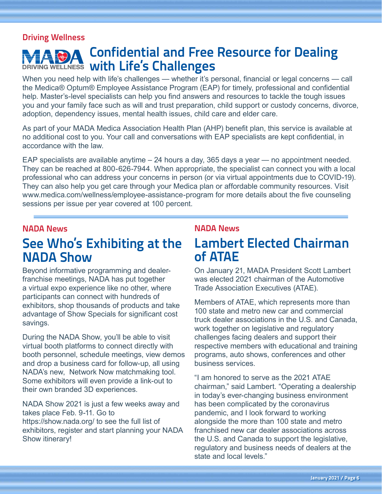#### **Driving Wellness**

## **Confidential and Free Resource for Dealing DRIVING WELLNESS With Life's Challenges**

When you need help with life's challenges — whether it's personal, financial or legal concerns — call the Medica® Optum® Employee Assistance Program (EAP) for timely, professional and confidential help. Master's-level specialists can help you find answers and resources to tackle the tough issues you and your family face such as will and trust preparation, child support or custody concerns, divorce, adoption, dependency issues, mental health issues, child care and elder care.

As part of your MADA Medica Association Health Plan (AHP) benefit plan, this service is available at no additional cost to you. Your call and conversations with EAP specialists are kept confidential, in accordance with the law.

EAP specialists are available anytime – 24 hours a day, 365 days a year — no appointment needed. They can be reached at 800-626-7944. When appropriate, the specialist can connect you with a local professional who can address your concerns in person (or via virtual appointments due to COVID-19). They can also help you get care through your Medica plan or affordable community resources. Visit [www.medica.com/wellness/employee-assistance-program](http://www.medica.com/wellness/employee-assistance-program) for more details about the five counseling sessions per issue per year covered at 100 percent.

#### **NADA News**

## **See Who's Exhibiting at the NADA Show**

Beyond informative programming and dealerfranchise meetings, NADA has put together a virtual expo experience like no other, where participants can connect with hundreds of exhibitors, shop thousands of products and take advantage of Show Specials for significant cost savings.

During the NADA Show, you'll be able to visit virtual booth platforms to connect directly with booth personnel, schedule meetings, view demos and drop a business card for follow-up, all using NADA's new, Network Now matchmaking tool. Some exhibitors will even provide a link-out to their own branded 3D experiences.

NADA Show 2021 is just a few weeks away and takes place Feb. 9-11. Go to <https://show.nada.org/> to see the full list of exhibitors, register and start planning your NADA Show itinerary!

#### **NADA News**

## **Lambert Elected Chairman of ATAE**

On January 21, MADA President Scott Lambert was elected 2021 chairman of the Automotive Trade Association Executives (ATAE).

Members of ATAE, which represents more than 100 state and metro new car and commercial truck dealer associations in the U.S. and Canada, work together on legislative and regulatory challenges facing dealers and support their respective members with educational and training programs, auto shows, conferences and other business services.

"I am honored to serve as the 2021 ATAE chairman," said Lambert. "Operating a dealership in today's ever-changing business environment has been complicated by the coronavirus pandemic, and I look forward to working alongside the more than 100 state and metro franchised new car dealer associations across the U.S. and Canada to support the legislative, regulatory and business needs of dealers at the state and local levels."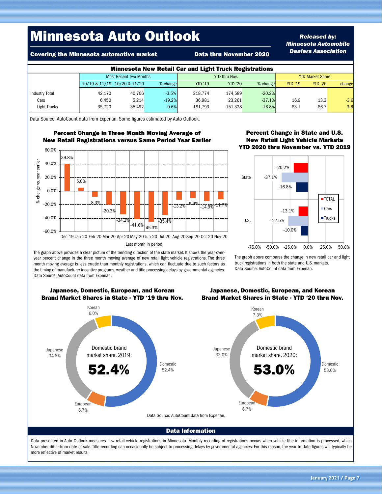## Minnesota Auto Outlook

Covering the Minnesota automotive market Data thru November 2020

#### *Released by: Minnesota Automobile Dealers Association*

| <b>Minnesota New Retail Car and Light Truck Registrations</b> |                             |                               |          |                      |                |          |                         |                |        |  |  |  |
|---------------------------------------------------------------|-----------------------------|-------------------------------|----------|----------------------|----------------|----------|-------------------------|----------------|--------|--|--|--|
|                                                               |                             | <b>Most Recent Two Months</b> |          | <b>YTD thru Nov.</b> |                |          | <b>YTD Market Share</b> |                |        |  |  |  |
|                                                               | 10/19 & 11/19 10/20 & 11/20 |                               | % change | <b>YTD '19</b>       | <b>YTD '20</b> | % change | <b>YTD '19</b>          | <b>YTD '20</b> | change |  |  |  |
| <b>Industry Total</b>                                         | 42.170                      | 40.706                        | $-3.5%$  | 218.774              | 174.589        | $-20.2%$ |                         |                |        |  |  |  |
| Cars                                                          | 6.450                       | 5,214                         | $-19.2%$ | 36.981               | 23.261         | $-37.1%$ | 16.9                    | 13.3           | $-3.6$ |  |  |  |
| Light Trucks                                                  | 35.720                      | 35,492                        | $-0.6%$  | 181.793              | 151.328        | $-16.8%$ | 83.1                    | 86.7           | 3.6    |  |  |  |

Data Source: AutoCount data from Experian. Some figures estimated by Auto Outlook.

#### Percent Change in Three Month Moving Average of New Retail Registrations versus Same Period Year Earlier



#### Percent Change in State and U.S. New Retail Light Vehicle Markets YTD 2020 thru November vs. YTD 2019



The graph above compares the change in new retail car and light truck registrations in both the state and U.S. markets. Data Source: AutoCount data from Experian.

The graph above provides a clear picture of the trending direction of the state market. It shows the year-overyear percent change in the three month moving average of new retail light vehicle registrations. The three month moving average is less erratic than monthly registrations, which can fluctuate due to such factors as the timing of manufacturer incentive programs, weather and title processing delays by governmental agencies. Data Source: AutoCount data from Experian.



#### Japanese, Domestic, European, and Korean Brand Market Shares in State - YTD '20 thru Nov.

November differ from date of sale. Title recording can occasionally be subject to processing delays by governmental agencies. For this reason, the year-to-date figures will typically be more reflective of market results.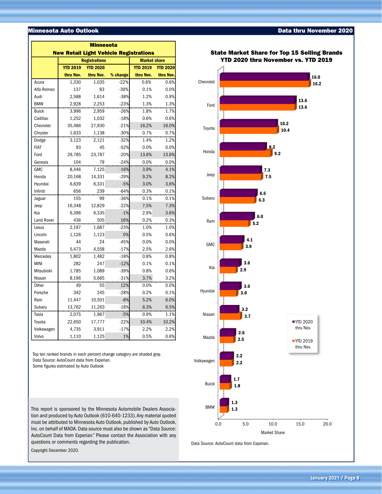#### **Minnesota Auto Outlook**

| <b>Minnesota</b><br><b>New Retail Light Vehicle Registrations</b> |                 |                      |                                    |           |           |  |  |  |  |  |
|-------------------------------------------------------------------|-----------------|----------------------|------------------------------------|-----------|-----------|--|--|--|--|--|
|                                                                   |                 | <b>Registrations</b> | <b>Market share</b>                |           |           |  |  |  |  |  |
|                                                                   | <b>YTD 2019</b> | <b>YTD 2020</b>      | <b>YTD 2019</b><br><b>YTD 2020</b> |           |           |  |  |  |  |  |
|                                                                   | thru Nov.       | thru Nov.            | % change                           | thru Nov. | thru Nov. |  |  |  |  |  |
| Acura                                                             | 1,330           | 1,035                | $-22%$                             | 0.6%      | 0.6%      |  |  |  |  |  |
| Alfa Romeo                                                        | 137             | 83                   | $-39%$                             | 0.1%      | 0.0%      |  |  |  |  |  |
| Audi                                                              | 2,588           | 1,614                | $-38%$                             | 1.2%      | 0.9%      |  |  |  |  |  |
| <b>BMW</b>                                                        | 2,928           | 2,253                | $-23%$                             | 1.3%      | 1.3%      |  |  |  |  |  |
| <b>Buick</b>                                                      | 3,996           | 2,959                | $-26%$                             | 1.8%      | 1.7%      |  |  |  |  |  |
| Cadillac                                                          | 1,252           | 1,032                | $-18%$                             | 0.6%      | 0.6%      |  |  |  |  |  |
| Chevrolet                                                         | 35,486          | 27,930               | $-21%$                             | 16.2%     | 16.0%     |  |  |  |  |  |
| Chrysler                                                          | 1,633           | 1,138                | $-30%$                             | 0.7%      | 0.7%      |  |  |  |  |  |
| Dodge                                                             | 3,123           | 2,121                | $-32%$                             | 1.4%      | 1.2%      |  |  |  |  |  |
| <b>FIAT</b>                                                       | 93              | 45                   | $-52%$                             | 0.0%      | 0.0%      |  |  |  |  |  |
| Ford                                                              | 29,785          | 23,787               | $-20%$                             | 13.6%     | 13.6%     |  |  |  |  |  |
| Genesis                                                           | 104             | 79                   | $-24%$                             | 0.0%      | 0.0%      |  |  |  |  |  |
| <b>GMC</b>                                                        | 8.446           | 7,125                | $-16%$                             | 3.9%      | 4.1%      |  |  |  |  |  |
| Honda                                                             | 20,168          | 14,331               | $-29%$                             | 9.2%      | 8.2%      |  |  |  |  |  |
| Hyundai                                                           | 6,639           | 6,331                | $-5%$                              | 3.0%      | 3.6%      |  |  |  |  |  |
| Infiniti                                                          | 656             | 239                  | $-64%$                             | 0.3%      | 0.1%      |  |  |  |  |  |
| Jaguar                                                            | 155             | 99                   | $-36%$                             | 0.1%      | 0.1%      |  |  |  |  |  |
| Jeep                                                              | 16,348          | 12,829               | $-22%$                             | 7.5%      | 7.3%      |  |  |  |  |  |
| Kia                                                               | 6,396           | 6,335                | $-1%$                              | 2.9%      | 3.6%      |  |  |  |  |  |
| Land Rover                                                        | 436             | 505                  | 16%                                | 0.2%      | 0.3%      |  |  |  |  |  |
| Lexus                                                             | 2,197           | 1,687                | $-23%$                             | 1.0%      | 1.0%      |  |  |  |  |  |
| Lincoln                                                           | 1,126           | 1,123                | 0%                                 | 0.5%      | 0.6%      |  |  |  |  |  |
| Maserati                                                          | 44              | 24                   | $-45%$                             | 0.0%      | 0.0%      |  |  |  |  |  |
| Mazda                                                             | 5,473           | 4,558                | $-17%$                             | 2.5%      | 2.6%      |  |  |  |  |  |
| Mercedes                                                          | 1,802           | 1,482                | $-18%$                             | 0.8%      | 0.8%      |  |  |  |  |  |
| <b>MINI</b>                                                       | 282             | 247                  | $-12%$                             | 0.1%      | 0.1%      |  |  |  |  |  |
| Mitsubishi                                                        | 1,785           | 1,089                | $-39%$                             | 0.8%      | 0.6%      |  |  |  |  |  |
| Nissan                                                            | 8,196           | 5,665                | $-31%$                             | 3.7%      | 3.2%      |  |  |  |  |  |
| Other                                                             | 49              | 55                   | 12%                                | 0.0%      | 0.0%      |  |  |  |  |  |
| Porsche                                                           | 342             | 245                  | $-28%$                             | 0.2%      | 0.1%      |  |  |  |  |  |
| Ram                                                               | 11,447          | 10,501               | $-8%$                              | 5.2%      | 6.0%      |  |  |  |  |  |
| Subaru                                                            | 13,762          | 11,263               | $-18%$                             | 6.3%      | 6.5%      |  |  |  |  |  |
| Tesla                                                             | 2,075           | 1,967                | $-5%$                              | 0.9%      | 1.1%      |  |  |  |  |  |
| Toyota                                                            | 22,650          | 17,777               | $-22%$                             | 10.4%     | 10.2%     |  |  |  |  |  |
| Volkswagen                                                        | 4,735           | 3,911                | $-17%$                             | 2.2%      | 2.2%      |  |  |  |  |  |
| Volvo                                                             | 1,110           | 1,125                | 1%                                 | 0.5%      | 0.6%      |  |  |  |  |  |

Top ten ranked brands in each percent change category are shaded gray. Data Source: AutoCount data from Experian. Some figures estimated by Auto Outlook

This report is sponsored by the Minnesota Automobile Dealers Association and produced by Auto Outlook (610-640-1233). Any material quoted must be attributed to Minnesota Auto Outlook, published by Auto Outlook, Inc. on behalf of MADA. Data source must also be shown as "Data Source: AutoCount Data from Experian." Please contact the Association with any questions or comments regarding the publication.

Copyright December 2020.



Data Source: AutoCount data from Experian.

#### State Market Share for Top 15 Selling Brands

Data thru November 2020

**January 2021 / Page 8**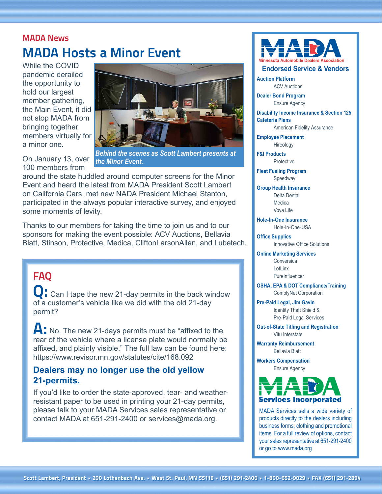### **MADA News MADA Hosts a Minor Event**

While the COVID pandemic derailed the opportunity to hold our largest member gathering, the Main Event, it did not stop MADA from bringing together members virtually for a minor one.



On January 13, over 100 members from

*Behind the scenes as Scott Lambert presents at the Minor Event.*

around the state huddled around computer screens for the Minor Event and heard the latest from MADA President Scott Lambert on California Cars, met new NADA President Michael Stanton, participated in the always popular interactive survey, and enjoyed some moments of levity.

Thanks to our members for taking the time to join us and to our sponsors for making the event possible: ACV Auctions, Bellavia Blatt, Stinson, Protective, Medica, CliftonLarsonAllen, and Lubetech.

### **FAQ**

Can I tape the new 21-day permits in the back window of a customer's vehicle like we did with the old 21-day permit?

A: No. The new 21-days permits must be "affixed to the rear of the vehicle where a license plate would normally be affixed, and plainly visible." The full law can be found here: <https://www.revisor.mn.gov/statutes/cite/168.092>

#### **Dealers may no longer use the old yellow 21-permits.**

If you'd like to order the state-approved, tear- and weatherresistant paper to be used in printing your 21-day permits, please talk to your MADA Services sales representative or contact MADA at 651-291-2400 or [services@mada.org.](mailto:services@mada.org)



**Auction Platform** ACV Auctions

**Dealer Bond Program** Ensure Agency

**Disability Income Insurance & Section 125 Cafeteria Plans**

American Fidelity Assurance

**Employee Placement** Hireology

**F&I Products Protective** 

**Fleet Fueling Program** Speedway

**Group Health Insurance** Delta Dental **Medica** Voya Life

**Hole-In-One Insurance** Hole-In-One-USA

**Office Supplies** Innovative Office Solutions

**Online Marketing Services**

Conversica LotLinx **PureInfluencer** 

**OSHA, EPA & DOT Compliance/Training** ComplyNet Corporation

**Pre-Paid Legal, Jim Gavin** Identity Theft Shield & Pre-Paid Legal Services

**Out-of-State Titling and Registration** Vitu Interstate

**Warranty Reimbursement** Bellavia Blatt

**Workers Compensation** Ensure Agency



MADA Services sells a wide variety of products directly to the dealers including business forms, clothing and promotional items. For a full review of options, contact your sales representative at 651-291-2400 or go to <www.mada.org>